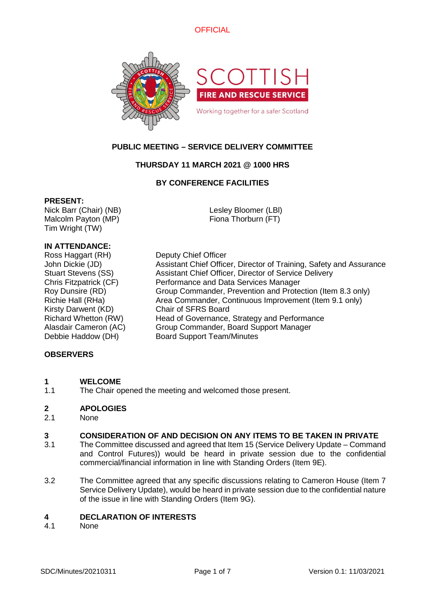



# **PUBLIC MEETING – SERVICE DELIVERY COMMITTEE**

# **THURSDAY 11 MARCH 2021 @ 1000 HRS**

# **BY CONFERENCE FACILITIES**

### **PRESENT:**

Nick Barr (Chair) (NB) Malcolm Payton (MP) Tim Wright (TW)

Lesley Bloomer (LBl) Fiona Thorburn (FT)

# **IN ATTENDANCE:**

Ross Haggart (RH) Deputy Chief Officer Kirsty Darwent (KD) Chair of SFRS Board Debbie Haddow (DH) Board Support Team/Minutes

John Dickie (JD) Assistant Chief Officer, Director of Training, Safety and Assurance Stuart Stevens (SS) Assistant Chief Officer, Director of Service Delivery Chris Fitzpatrick (CF) Performance and Data Services Manager Roy Dunsire (RD) Group Commander, Prevention and Protection (Item 8.3 only) Richie Hall (RHa) Area Commander, Continuous Improvement (Item 9.1 only) Richard Whetton (RW) Head of Governance, Strategy and Performance Alasdair Cameron (AC) Group Commander, Board Support Manager

### **OBSERVERS**

### **1 WELCOME**

1.1 The Chair opened the meeting and welcomed those present.

### **2 APOLOGIES**

2.1 None

# **3 CONSIDERATION OF AND DECISION ON ANY ITEMS TO BE TAKEN IN PRIVATE**

- 3.1 The Committee discussed and agreed that Item 15 (Service Delivery Update – Command and Control Futures)) would be heard in private session due to the confidential commercial/financial information in line with Standing Orders (Item 9E).
- 3.2 The Committee agreed that any specific discussions relating to Cameron House (Item 7 Service Delivery Update), would be heard in private session due to the confidential nature of the issue in line with Standing Orders (Item 9G).

### **4 DECLARATION OF INTERESTS**

4.1 None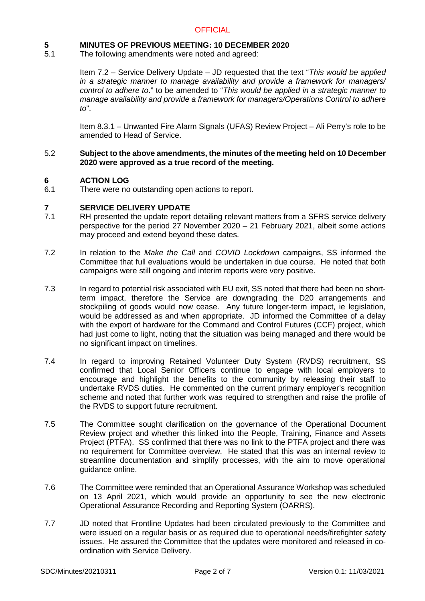# **5 MINUTES OF PREVIOUS MEETING: 10 DECEMBER 2020**

5.1 The following amendments were noted and agreed:

> Item 7.2 – Service Delivery Update – JD requested that the text "*This would be applied in a strategic manner to manage availability and provide a framework for managers/ control to adhere to*." to be amended to "*This would be applied in a strategic manner to manage availability and provide a framework for managers/Operations Control to adhere to*".

> Item 8.3.1 – Unwanted Fire Alarm Signals (UFAS) Review Project – Ali Perry's role to be amended to Head of Service.

#### 5.2 **Subject to the above amendments, the minutes of the meeting held on 10 December 2020 were approved as a true record of the meeting.**

# **6 ACTION LOG**

6.1 There were no outstanding open actions to report.

# **7 SERVICE DELIVERY UPDATE**

- 7.1 RH presented the update report detailing relevant matters from a SFRS service delivery perspective for the period 27 November 2020 – 21 February 2021, albeit some actions may proceed and extend beyond these dates.
- 7.2 In relation to the *Make the Call* and *COVID Lockdown* campaigns, SS informed the Committee that full evaluations would be undertaken in due course. He noted that both campaigns were still ongoing and interim reports were very positive.
- 7.3 In regard to potential risk associated with EU exit, SS noted that there had been no shortterm impact, therefore the Service are downgrading the D20 arrangements and stockpiling of goods would now cease. Any future longer-term impact, ie legislation, would be addressed as and when appropriate. JD informed the Committee of a delay with the export of hardware for the Command and Control Futures (CCF) project, which had just come to light, noting that the situation was being managed and there would be no significant impact on timelines.
- 7.4 In regard to improving Retained Volunteer Duty System (RVDS) recruitment, SS confirmed that Local Senior Officers continue to engage with local employers to encourage and highlight the benefits to the community by releasing their staff to undertake RVDS duties. He commented on the current primary employer's recognition scheme and noted that further work was required to strengthen and raise the profile of the RVDS to support future recruitment.
- 7.5 The Committee sought clarification on the governance of the Operational Document Review project and whether this linked into the People, Training, Finance and Assets Project (PTFA). SS confirmed that there was no link to the PTFA project and there was no requirement for Committee overview. He stated that this was an internal review to streamline documentation and simplify processes, with the aim to move operational guidance online.
- 7.6 The Committee were reminded that an Operational Assurance Workshop was scheduled on 13 April 2021, which would provide an opportunity to see the new electronic Operational Assurance Recording and Reporting System (OARRS).
- 7.7 JD noted that Frontline Updates had been circulated previously to the Committee and were issued on a regular basis or as required due to operational needs/firefighter safety issues. He assured the Committee that the updates were monitored and released in coordination with Service Delivery.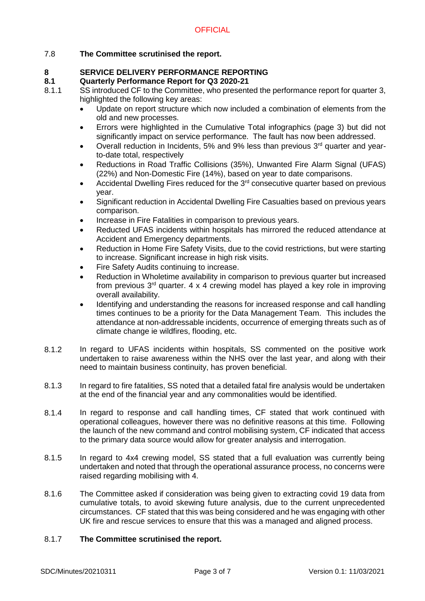# 7.8 **The Committee scrutinised the report.**

# **8 SERVICE DELIVERY PERFORMANCE REPORTING**

# **8.1 Quarterly Performance Report for Q3 2020-21**

- 8.1.1 SS introduced CF to the Committee, who presented the performance report for quarter 3, highlighted the following key areas:
	- Update on report structure which now included a combination of elements from the old and new processes.
	- Errors were highlighted in the Cumulative Total infographics (page 3) but did not significantly impact on service performance. The fault has now been addressed.
	- Overall reduction in Incidents, 5% and 9% less than previous  $3<sup>rd</sup>$  quarter and yearto-date total, respectively
	- Reductions in Road Traffic Collisions (35%), Unwanted Fire Alarm Signal (UFAS) (22%) and Non-Domestic Fire (14%), based on year to date comparisons.
	- Accidental Dwelling Fires reduced for the  $3<sup>rd</sup>$  consecutive quarter based on previous year.
	- Significant reduction in Accidental Dwelling Fire Casualties based on previous years comparison.
	- Increase in Fire Fatalities in comparison to previous years.
	- Reducted UFAS incidents within hospitals has mirrored the reduced attendance at Accident and Emergency departments.
	- Reduction in Home Fire Safety Visits, due to the covid restrictions, but were starting to increase. Significant increase in high risk visits.
	- Fire Safety Audits continuing to increase.
	- Reduction in Wholetime availability in comparison to previous quarter but increased from previous  $3<sup>rd</sup>$  quarter. 4 x 4 crewing model has played a key role in improving overall availability.
	- Identifying and understanding the reasons for increased response and call handling times continues to be a priority for the Data Management Team. This includes the attendance at non-addressable incidents, occurrence of emerging threats such as of climate change ie wildfires, flooding, etc.
- 8.1.2 In regard to UFAS incidents within hospitals, SS commented on the positive work undertaken to raise awareness within the NHS over the last year, and along with their need to maintain business continuity, has proven beneficial.
- 8.1.3 In regard to fire fatalities, SS noted that a detailed fatal fire analysis would be undertaken at the end of the financial year and any commonalities would be identified.
- 8.1.4 In regard to response and call handling times, CF stated that work continued with operational colleagues, however there was no definitive reasons at this time. Following the launch of the new command and control mobilising system, CF indicated that access to the primary data source would allow for greater analysis and interrogation.
- 8.1.5 In regard to 4x4 crewing model, SS stated that a full evaluation was currently being undertaken and noted that through the operational assurance process, no concerns were raised regarding mobilising with 4.
- 8.1.6 The Committee asked if consideration was being given to extracting covid 19 data from cumulative totals, to avoid skewing future analysis, due to the current unprecedented circumstances. CF stated that this was being considered and he was engaging with other UK fire and rescue services to ensure that this was a managed and aligned process.

#### 8.1.7 **The Committee scrutinised the report.**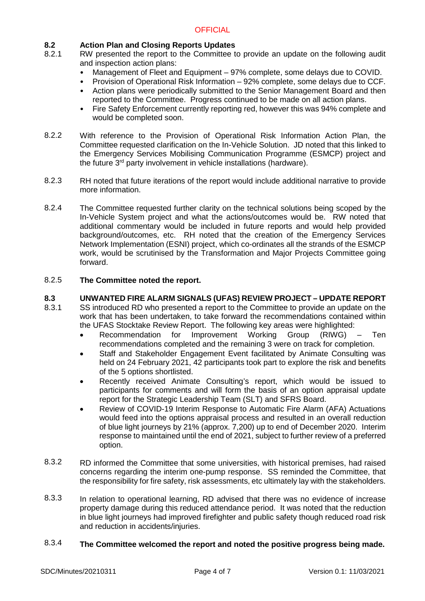# **8.2 Action Plan and Closing Reports Updates**

- 8.2.1 RW presented the report to the Committee to provide an update on the following audit and inspection action plans:
	- Management of Fleet and Equipment 97% complete, some delays due to COVID.
	- Provision of Operational Risk Information 92% complete, some delays due to CCF.
	- Action plans were periodically submitted to the Senior Management Board and then reported to the Committee. Progress continued to be made on all action plans.
	- Fire Safety Enforcement currently reporting red, however this was 94% complete and would be completed soon.
- 8.2.2 With reference to the Provision of Operational Risk Information Action Plan, the Committee requested clarification on the In-Vehicle Solution. JD noted that this linked to the Emergency Services Mobilising Communication Programme (ESMCP) project and the future 3<sup>rd</sup> party involvement in vehicle installations (hardware).
- 8.2.3 RH noted that future iterations of the report would include additional narrative to provide more information.
- 8.2.4 The Committee requested further clarity on the technical solutions being scoped by the In-Vehicle System project and what the actions/outcomes would be. RW noted that additional commentary would be included in future reports and would help provided background/outcomes, etc. RH noted that the creation of the Emergency Services Network Implementation (ESNI) project, which co-ordinates all the strands of the ESMCP work, would be scrutinised by the Transformation and Major Projects Committee going forward.

#### 8.2.5 **The Committee noted the report.**

#### **8.3 UNWANTED FIRE ALARM SIGNALS (UFAS) REVIEW PROJECT – UPDATE REPORT**

- 8.3.1 SS introduced RD who presented a report to the Committee to provide an update on the work that has been undertaken, to take forward the recommendations contained within the UFAS Stocktake Review Report. The following key areas were highlighted:
	- Recommendation for Improvement Working Group (RIWG) Ten recommendations completed and the remaining 3 were on track for completion.
	- Staff and Stakeholder Engagement Event facilitated by Animate Consulting was held on 24 February 2021, 42 participants took part to explore the risk and benefits of the 5 options shortlisted.
	- Recently received Animate Consulting's report, which would be issued to participants for comments and will form the basis of an option appraisal update report for the Strategic Leadership Team (SLT) and SFRS Board.
	- Review of COVID-19 Interim Response to Automatic Fire Alarm (AFA) Actuations would feed into the options appraisal process and resulted in an overall reduction of blue light journeys by 21% (approx. 7,200) up to end of December 2020. Interim response to maintained until the end of 2021, subject to further review of a preferred option.
- 8.3.2 RD informed the Committee that some universities, with historical premises, had raised concerns regarding the interim one-pump response. SS reminded the Committee, that the responsibility for fire safety, risk assessments, etc ultimately lay with the stakeholders.
- 8.3.3 In relation to operational learning, RD advised that there was no evidence of increase property damage during this reduced attendance period. It was noted that the reduction in blue light journeys had improved firefighter and public safety though reduced road risk and reduction in accidents/injuries.

#### 8.3.4 **The Committee welcomed the report and noted the positive progress being made.**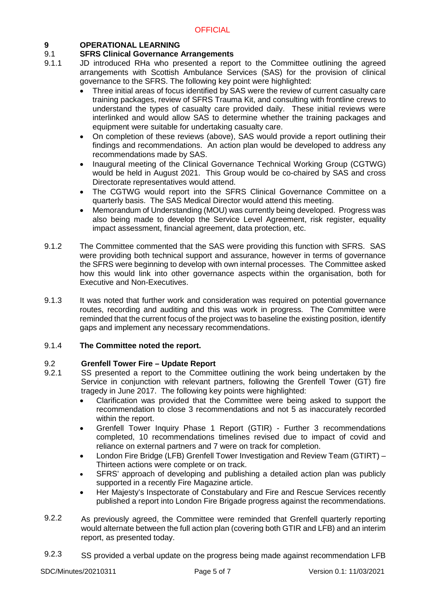# **9 OPERATIONAL LEARNING**

#### 9.1 **SFRS Clinical Governance Arrangements**

- 9.1.1 JD introduced RHa who presented a report to the Committee outlining the agreed arrangements with Scottish Ambulance Services (SAS) for the provision of clinical governance to the SFRS. The following key point were highlighted:
	- Three initial areas of focus identified by SAS were the review of current casualty care training packages, review of SFRS Trauma Kit, and consulting with frontline crews to understand the types of casualty care provided daily. These initial reviews were interlinked and would allow SAS to determine whether the training packages and equipment were suitable for undertaking casualty care.
	- On completion of these reviews (above), SAS would provide a report outlining their findings and recommendations. An action plan would be developed to address any recommendations made by SAS.
	- Inaugural meeting of the Clinical Governance Technical Working Group (CGTWG) would be held in August 2021. This Group would be co-chaired by SAS and cross Directorate representatives would attend.
	- The CGTWG would report into the SFRS Clinical Governance Committee on a quarterly basis. The SAS Medical Director would attend this meeting.
	- Memorandum of Understanding (MOU) was currently being developed. Progress was also being made to develop the Service Level Agreement, risk register, equality impact assessment, financial agreement, data protection, etc.
- 9.1.2 The Committee commented that the SAS were providing this function with SFRS. SAS were providing both technical support and assurance, however in terms of governance the SFRS were beginning to develop with own internal processes. The Committee asked how this would link into other governance aspects within the organisation, both for Executive and Non-Executives.
- 9.1.3 It was noted that further work and consideration was required on potential governance routes, recording and auditing and this was work in progress. The Committee were reminded that the current focus of the project was to baseline the existing position, identify gaps and implement any necessary recommendations.

#### 9.1.4 **The Committee noted the report.**

# 9.2 **Grenfell Tower Fire – Update Report**

- 9.2.1 SS presented a report to the Committee outlining the work being undertaken by the Service in conjunction with relevant partners, following the Grenfell Tower (GT) fire tragedy in June 2017. The following key points were highlighted:
	- Clarification was provided that the Committee were being asked to support the recommendation to close 3 recommendations and not 5 as inaccurately recorded within the report.
	- Grenfell Tower Inquiry Phase 1 Report (GTIR) Further 3 recommendations completed, 10 recommendations timelines revised due to impact of covid and reliance on external partners and 7 were on track for completion.
	- London Fire Bridge (LFB) Grenfell Tower Investigation and Review Team (GTIRT) Thirteen actions were complete or on track.
	- SFRS' approach of developing and publishing a detailed action plan was publicly supported in a recently Fire Magazine article.
	- Her Majesty's Inspectorate of Constabulary and Fire and Rescue Services recently published a report into London Fire Brigade progress against the recommendations.
- 9.2.2 As previously agreed, the Committee were reminded that Grenfell quarterly reporting would alternate between the full action plan (covering both GTIR and LFB) and an interim report, as presented today.
- 9.2.3 SS provided a verbal update on the progress being made against recommendation LFB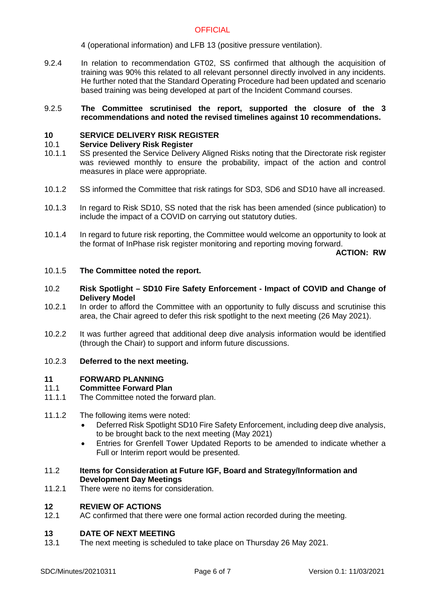# **OFFICIAL**

4 (operational information) and LFB 13 (positive pressure ventilation).

9.2.4 In relation to recommendation GT02, SS confirmed that although the acquisition of training was 90% this related to all relevant personnel directly involved in any incidents. He further noted that the Standard Operating Procedure had been updated and scenario based training was being developed at part of the Incident Command courses.

#### 9.2.5 **The Committee scrutinised the report, supported the closure of the 3 recommendations and noted the revised timelines against 10 recommendations.**

# **10 SERVICE DELIVERY RISK REGISTER**

### 10.1 **Service Delivery Risk Register**

- 10.1.1 SS presented the Service Delivery Aligned Risks noting that the Directorate risk register was reviewed monthly to ensure the probability, impact of the action and control measures in place were appropriate.
- 10.1.2 SS informed the Committee that risk ratings for SD3, SD6 and SD10 have all increased.
- 10.1.3 In regard to Risk SD10, SS noted that the risk has been amended (since publication) to include the impact of a COVID on carrying out statutory duties.
- 10.1.4 In regard to future risk reporting, the Committee would welcome an opportunity to look at the format of InPhase risk register monitoring and reporting moving forward.

**ACTION: RW**

#### 10.1.5 **The Committee noted the report.**

- 10.2 **Risk Spotlight SD10 Fire Safety Enforcement Impact of COVID and Change of Delivery Model**
- 10.2.1 In order to afford the Committee with an opportunity to fully discuss and scrutinise this area, the Chair agreed to defer this risk spotlight to the next meeting (26 May 2021).
- 10.2.2 It was further agreed that additional deep dive analysis information would be identified (through the Chair) to support and inform future discussions.

#### 10.2.3 **Deferred to the next meeting.**

# **11 FORWARD PLANNING**

# **Committee Forward Plan**

- 11.1.1 The Committee noted the forward plan.
- 11.1.2 The following items were noted:
	- Deferred Risk Spotlight SD10 Fire Safety Enforcement, including deep dive analysis, to be brought back to the next meeting (May 2021)
	- Entries for Grenfell Tower Updated Reports to be amended to indicate whether a Full or Interim report would be presented.

# 11.2 **Items for Consideration at Future IGF, Board and Strategy/Information and Development Day Meetings**

11.2.1 There were no items for consideration.

# **12 REVIEW OF ACTIONS**

12.1 AC confirmed that there were one formal action recorded during the meeting.

### **13 DATE OF NEXT MEETING**

13.1 The next meeting is scheduled to take place on Thursday 26 May 2021.